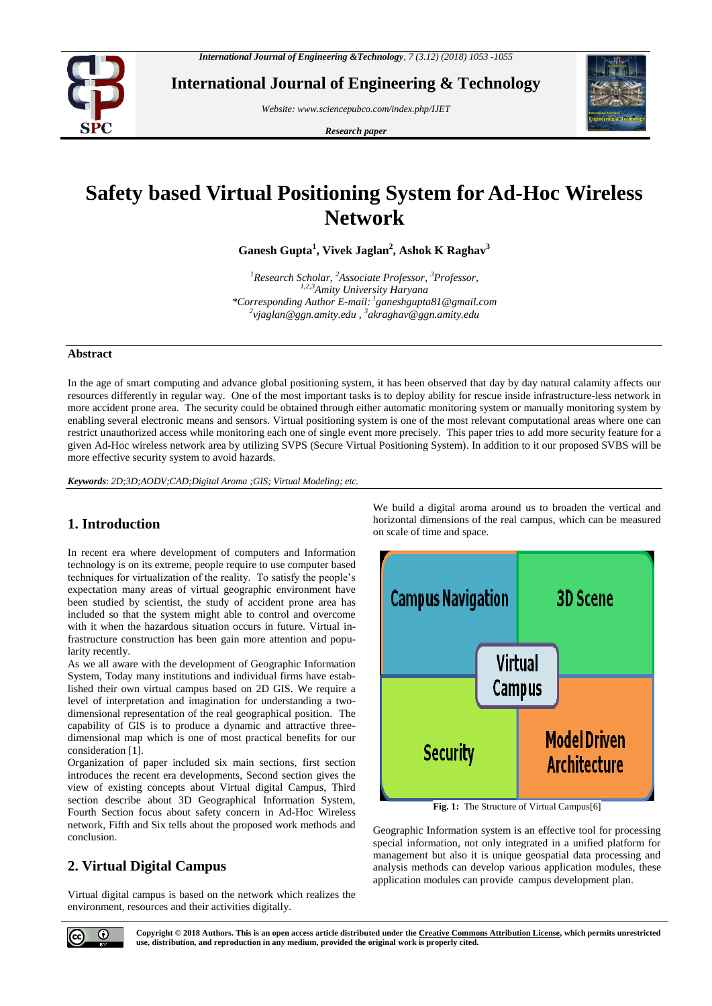

**International Journal of Engineering & Technology**

*Website: www.sciencepubco.com/index.php/IJET*

*Research paper*



# **Safety based Virtual Positioning System for Ad-Hoc Wireless Network**

**Ganesh Gupta<sup>1</sup> , Vivek Jaglan<sup>2</sup> , Ashok K Raghav<sup>3</sup>**

*<sup>1</sup>Research Scholar, <sup>2</sup>Associate Professor, <sup>3</sup>Professor, 1,2,3Amity University Haryana \*Corresponding Author E-mail: <sup>1</sup> ganeshgupta81@gmail.com 2 [vjaglan@ggn.amity.edu](mailto:2vjaglan@ggn.amity.edu) , 3 akraghav@ggn.amity.edu*

#### **Abstract**

In the age of smart computing and advance global positioning system, it has been observed that day by day natural calamity affects our resources differently in regular way. One of the most important tasks is to deploy ability for rescue inside infrastructure-less network in more accident prone area. The security could be obtained through either automatic monitoring system or manually monitoring system by enabling several electronic means and sensors. Virtual positioning system is one of the most relevant computational areas where one can restrict unauthorized access while monitoring each one of single event more precisely. This paper tries to add more security feature for a given Ad-Hoc wireless network area by utilizing SVPS (Secure Virtual Positioning System). In addition to it our proposed SVBS will be more effective security system to avoid hazards.

*Keywords*: *2D;3D;AODV;CAD;Digital Aroma ;GIS; Virtual Modeling; etc.*

# **1. Introduction**

In recent era where development of computers and Information technology is on its extreme, people require to use computer based techniques for virtualization of the reality. To satisfy the people's expectation many areas of virtual geographic environment have been studied by scientist, the study of accident prone area has included so that the system might able to control and overcome with it when the hazardous situation occurs in future. Virtual infrastructure construction has been gain more attention and popularity recently.

As we all aware with the development of Geographic Information System, Today many institutions and individual firms have established their own virtual campus based on 2D GIS. We require a level of interpretation and imagination for understanding a twodimensional representation of the real geographical position. The capability of GIS is to produce a dynamic and attractive threedimensional map which is one of most practical benefits for our consideration [1].

Organization of paper included six main sections, first section introduces the recent era developments, Second section gives the view of existing concepts about Virtual digital Campus, Third section describe about 3D Geographical Information System, Fourth Section focus about safety concern in Ad-Hoc Wireless network, Fifth and Six tells about the proposed work methods and conclusion.

# **2. Virtual Digital Campus**

Virtual digital campus is based on the network which realizes the environment, resources and their activities digitally.

We build a digital aroma around us to broaden the vertical and horizontal dimensions of the real campus, which can be measured on scale of time and space.



**Fig. 1:** The Structure of Virtual Campus[6]

Geographic Information system is an effective tool for processing special information, not only integrated in a unified platform for management but also it is unique geospatial data processing and analysis methods can develop various application modules, these application modules can provide campus development plan.

 $\odot$ 

**Copyright © 2018 Authors. This is an open access article distributed under the Creative Commons Attribution License, which permits unrestricted use, distribution, and reproduction in any medium, provided the original work is properly cited.**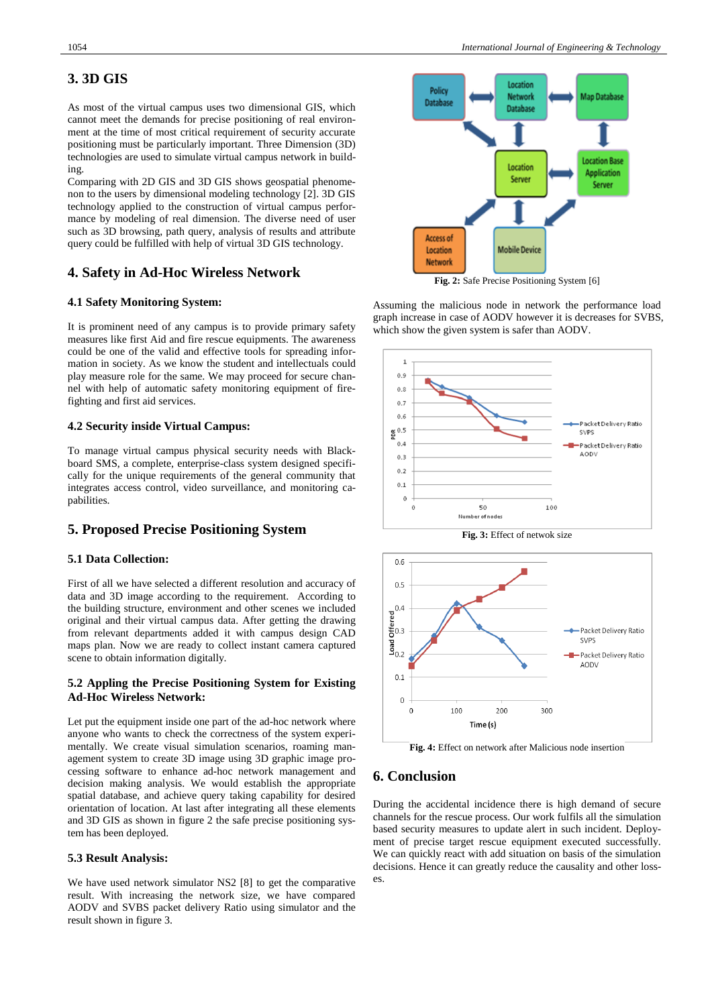# **3. 3D GIS**

As most of the virtual campus uses two dimensional GIS, which cannot meet the demands for precise positioning of real environment at the time of most critical requirement of security accurate positioning must be particularly important. Three Dimension (3D) technologies are used to simulate virtual campus network in building.

Comparing with 2D GIS and 3D GIS shows geospatial phenomenon to the users by dimensional modeling technology [2]. 3D GIS technology applied to the construction of virtual campus performance by modeling of real dimension. The diverse need of user such as 3D browsing, path query, analysis of results and attribute query could be fulfilled with help of virtual 3D GIS technology.

#### **4. Safety in Ad-Hoc Wireless Network**

#### **4.1 Safety Monitoring System:**

It is prominent need of any campus is to provide primary safety measures like first Aid and fire rescue equipments. The awareness could be one of the valid and effective tools for spreading information in society. As we know the student and intellectuals could play measure role for the same. We may proceed for secure channel with help of automatic safety monitoring equipment of firefighting and first aid services.

#### **4.2 Security inside Virtual Campus:**

To manage virtual campus physical security needs with Blackboard SMS, a complete, enterprise-class system designed specifically for the unique requirements of the general community that integrates access control, video surveillance, and monitoring capabilities.

#### **5. Proposed Precise Positioning System**

#### **5.1 Data Collection:**

First of all we have selected a different resolution and accuracy of data and 3D image according to the requirement. According to the building structure, environment and other scenes we included original and their virtual campus data. After getting the drawing from relevant departments added it with campus design CAD maps plan. Now we are ready to collect instant camera captured scene to obtain information digitally.

#### **5.2 Appling the Precise Positioning System for Existing Ad-Hoc Wireless Network:**

Let put the equipment inside one part of the ad-hoc network where anyone who wants to check the correctness of the system experimentally. We create visual simulation scenarios, roaming management system to create 3D image using 3D graphic image processing software to enhance ad-hoc network management and decision making analysis. We would establish the appropriate spatial database, and achieve query taking capability for desired orientation of location. At last after integrating all these elements and 3D GIS as shown in figure 2 the safe precise positioning system has been deployed.

#### **5.3 Result Analysis:**

We have used network simulator NS2 [8] to get the comparative result. With increasing the network size, we have compared AODV and SVBS packet delivery Ratio using simulator and the result shown in figure 3.



**Fig. 2:** Safe Precise Positioning System [6]

Assuming the malicious node in network the performance load graph increase in case of AODV however it is decreases for SVBS, which show the given system is safer than AODV.



**Fig. 3:** Effect of netwok size



**Fig. 4:** Effect on network after Malicious node insertion

## **6. Conclusion**

During the accidental incidence there is high demand of secure channels for the rescue process. Our work fulfils all the simulation based security measures to update alert in such incident. Deployment of precise target rescue equipment executed successfully. We can quickly react with add situation on basis of the simulation decisions. Hence it can greatly reduce the causality and other losses.